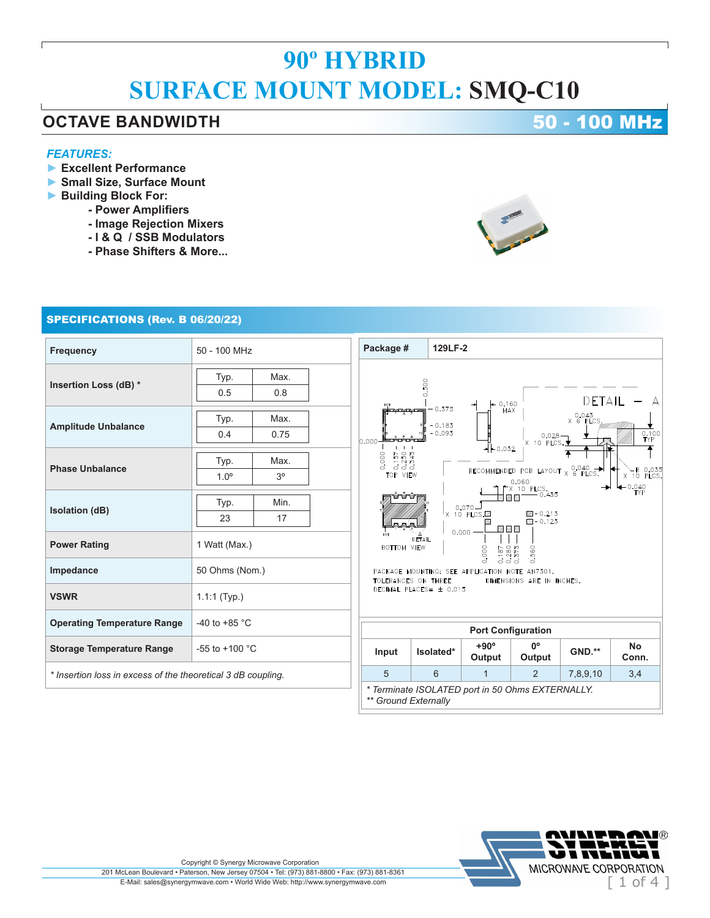### **OCTAVE BANDWIDTH 50 - 100 MHz**

### *FEATURES:*

- **► Excellent Performance**
- **► Small Size, Surface Mount**
- **► Building Block For:**
	- **Power Amplifiers**
	- **Image Rejection Mixers**
	- **I & Q / SSB Modulators**
	- **Phase Shifters & More...**

### SPECIFICATIONS (Rev. B 06/20/22)

| <b>Frequency</b>                                             | 50 - 100 MHz                                                                                                         | Package #                                           |                                  | 129LF-2                                      |                                                                           |                    |                                             |  |
|--------------------------------------------------------------|----------------------------------------------------------------------------------------------------------------------|-----------------------------------------------------|----------------------------------|----------------------------------------------|---------------------------------------------------------------------------|--------------------|---------------------------------------------|--|
| Insertion Loss (dB) *                                        | Max.<br>Typ.<br>0.8<br>0.5                                                                                           |                                                     | 0.500                            |                                              |                                                                           | DETAIL             |                                             |  |
| <b>Amplitude Unbalance</b>                                   | Max.<br>Typ.<br>0.75<br>0.4                                                                                          | a degla degla se<br>0.000                           | $-0.375$<br>$-0.183$<br>$-0.093$ | 0.160<br>MAX<br>$+(-0.032)$                  | $0.028 -$<br>X 10 PLCS. $\overline{\mathbf{y}}$                           | 0.043<br>X 6 PLCS. | 0.100<br>TYP                                |  |
| <b>Phase Unbalance</b>                                       | Typ.<br>Max.<br>3 <sup>o</sup><br>$1.0^\circ$                                                                        | $157$<br>$253$<br>$343$<br>0.000<br>600<br>TOP VIEW |                                  |                                              | RECOMMENDED PCB LAYOUT $\times$ 6 PLCS.<br>0.060<br>$\uparrow$ X 10 PLCS. |                    | $\chi$ R 0.03<br>X 10 PLCS<br>-0.040<br>TYP |  |
| <b>Isolation (dB)</b>                                        | Typ.<br>Min.<br>23<br>17                                                                                             |                                                     |                                  | Ø<br>$0.070 -$<br>X 10 PLCS.<br><b>72 72</b> | 0.435<br>$24 - 0.213$<br>$22 - 0.123$                                     |                    |                                             |  |
| <b>Power Rating</b>                                          | 0.000<br>DETAIL<br>1 Watt (Max.)<br><b>BOTTOM VIEW</b><br>560<br>0.000<br>$.87$<br>$.280 - 0.57$                     |                                                     |                                  |                                              |                                                                           |                    |                                             |  |
| Impedance                                                    | 50 Ohms (Nom.)<br>PACKAGE MOUNTING: SEE APPLICATION NOTE AN7301.<br>TOLERANCES ON THREE<br>DIMENSIONS ARE IN INCHES. |                                                     |                                  |                                              |                                                                           |                    |                                             |  |
| <b>VSWR</b>                                                  | DECIMAL PLACES= ± 0.015<br>$1.1:1$ (Typ.)                                                                            |                                                     |                                  |                                              |                                                                           |                    |                                             |  |
| <b>Operating Temperature Range</b>                           | -40 to +85 $^{\circ}$ C<br><b>Port Configuration</b>                                                                 |                                                     |                                  |                                              |                                                                           |                    |                                             |  |
| <b>Storage Temperature Range</b>                             | -55 to +100 $^{\circ}$ C                                                                                             | Input                                               | Isolated*                        | $+90^\circ$<br>Output                        | $0^{\circ}$<br>Output                                                     | <b>GND.**</b>      | <b>No</b><br>Conn.                          |  |
| * Insertion loss in excess of the theoretical 3 dB coupling. |                                                                                                                      | 5                                                   | 6                                | $\overline{1}$                               | 2                                                                         | 7,8,9,10           | 3,4                                         |  |
| * Terminate ISOLATED port in 50 Ohms EXTERNALLY.             |                                                                                                                      |                                                     |                                  |                                              |                                                                           |                    |                                             |  |

*\*\* Ground Externally*



-R 0.035<br>10 PLCS  $0.040$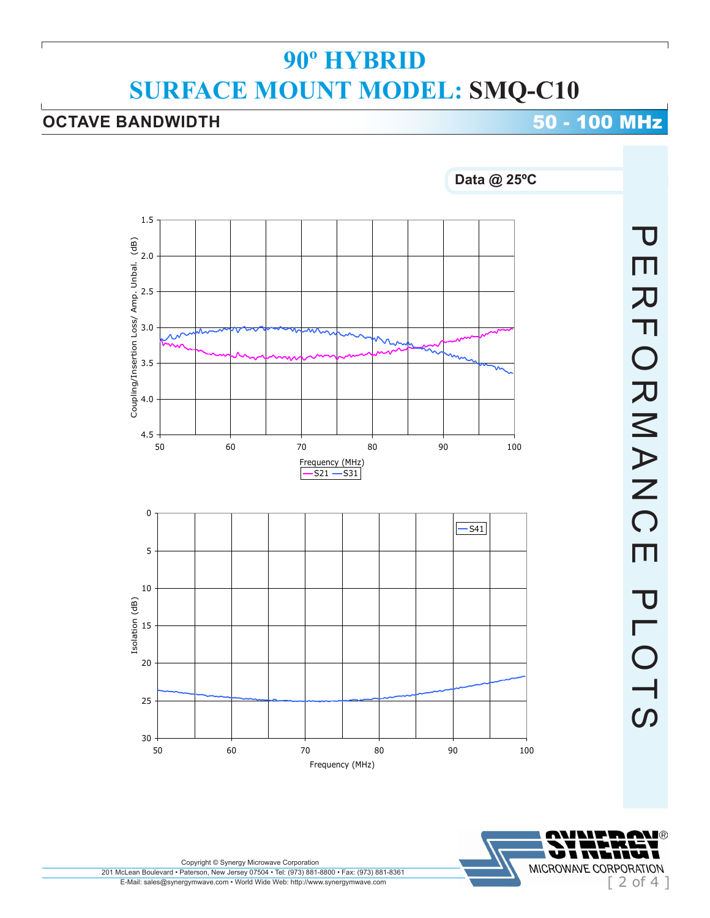## **OCTAVE BANDWIDTH 50 - 100 MHz**



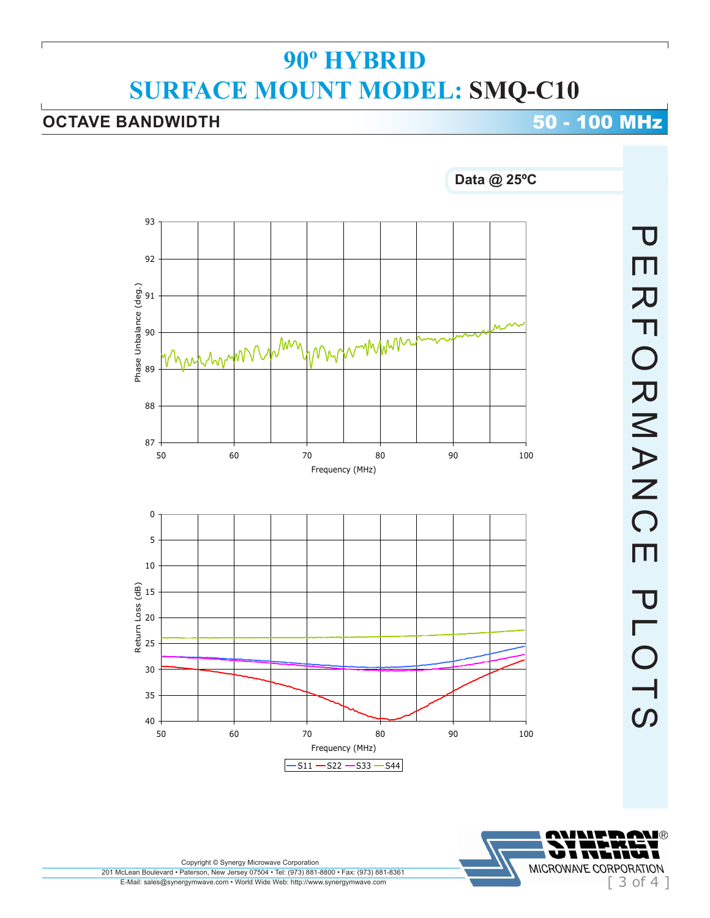## **OCTAVE BANDWIDTH 50 - 100 MHz**